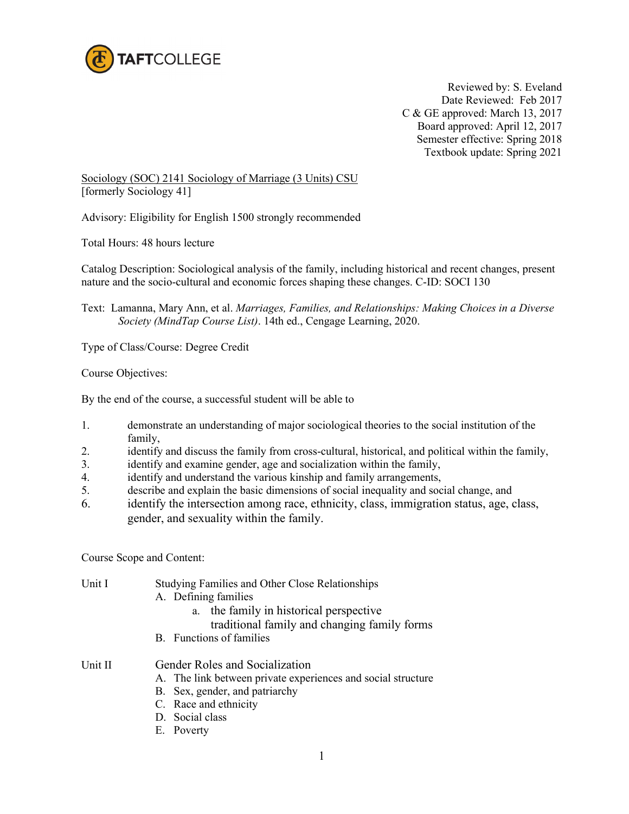

Reviewed by: S. Eveland Date Reviewed: Feb 2017 C & GE approved: March 13, 2017 Board approved: April 12, 2017 Semester effective: Spring 2018 Textbook update: Spring 2021

Sociology (SOC) 2141 Sociology of Marriage (3 Units) CSU [formerly Sociology 41]

Advisory: Eligibility for English 1500 strongly recommended

Total Hours: 48 hours lecture

Catalog Description: Sociological analysis of the family, including historical and recent changes, present nature and the socio-cultural and economic forces shaping these changes. C-ID: SOCI 130

Text: Lamanna, Mary Ann, et al. *Marriages, Families, and Relationships: Making Choices in a Diverse Society (MindTap Course List)*. 14th ed., Cengage Learning, 2020.

Type of Class/Course: Degree Credit

Course Objectives:

By the end of the course, a successful student will be able to

- 1. demonstrate an understanding of major sociological theories to the social institution of the family,
- 2. identify and discuss the family from cross-cultural, historical, and political within the family,
- 3. identify and examine gender, age and socialization within the family,
- 4. identify and understand the various kinship and family arrangements,
- 5. describe and explain the basic dimensions of social inequality and social change, and
- 6. identify the intersection among race, ethnicity, class, immigration status, age, class, gender, and sexuality within the family.

Course Scope and Content:

| Unit I  | Studying Families and Other Close Relationships<br>A. Defining families<br>the family in historical perspective<br>a.<br>traditional family and changing family forms                      |
|---------|--------------------------------------------------------------------------------------------------------------------------------------------------------------------------------------------|
|         | B. Functions of families                                                                                                                                                                   |
| Unit II | Gender Roles and Socialization<br>A. The link between private experiences and social structure<br>B. Sex, gender, and patriarchy<br>C. Race and ethnicity<br>D. Social class<br>E. Poverty |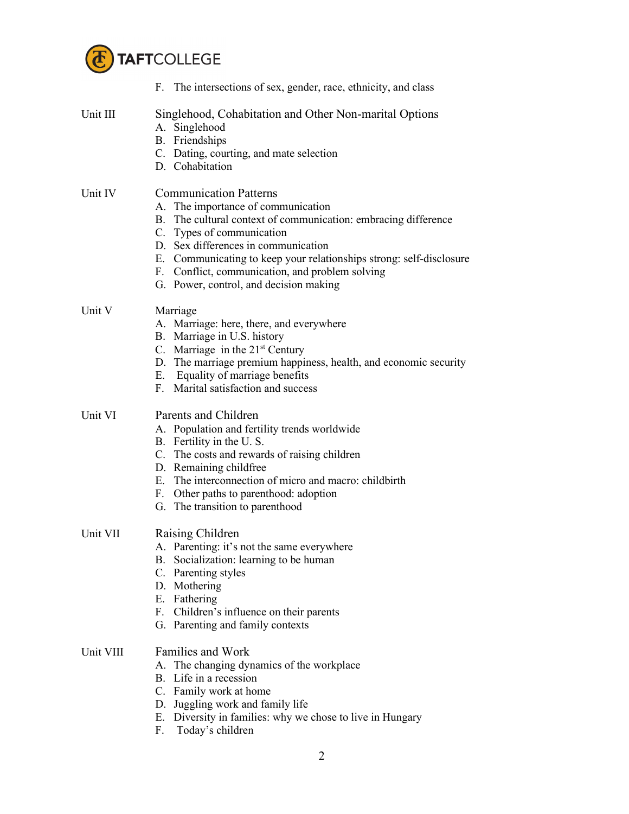

|           | F. The intersections of sex, gender, race, ethnicity, and class                                                                                                                                                                                                                                                                                                               |
|-----------|-------------------------------------------------------------------------------------------------------------------------------------------------------------------------------------------------------------------------------------------------------------------------------------------------------------------------------------------------------------------------------|
| Unit III  | Singlehood, Cohabitation and Other Non-marital Options<br>A. Singlehood<br><b>B.</b> Friendships<br>C. Dating, courting, and mate selection<br>D. Cohabitation                                                                                                                                                                                                                |
| Unit IV   | <b>Communication Patterns</b><br>A. The importance of communication<br>B. The cultural context of communication: embracing difference<br>C. Types of communication<br>D. Sex differences in communication<br>E. Communicating to keep your relationships strong: self-disclosure<br>F. Conflict, communication, and problem solving<br>G. Power, control, and decision making |
| Unit V    | Marriage<br>A. Marriage: here, there, and everywhere<br>B. Marriage in U.S. history<br>C. Marriage in the $21st$ Century<br>D. The marriage premium happiness, health, and economic security<br>E. Equality of marriage benefits<br>F. Marital satisfaction and success                                                                                                       |
| Unit VI   | Parents and Children<br>A. Population and fertility trends worldwide<br>B. Fertility in the U.S.<br>C. The costs and rewards of raising children<br>D. Remaining childfree<br>E. The interconnection of micro and macro: childbirth<br>F. Other paths to parenthood: adoption<br>G. The transition to parenthood                                                              |
| Unit VII  | Raising Children<br>A. Parenting: it's not the same everywhere<br>Socialization: learning to be human<br>В.<br>C. Parenting styles<br>D. Mothering<br>E. Fathering<br>F. Children's influence on their parents<br>G. Parenting and family contexts                                                                                                                            |
| Unit VIII | <b>Families and Work</b><br>The changing dynamics of the workplace<br>А.<br>B. Life in a recession<br>C. Family work at home<br>D. Juggling work and family life<br>E. Diversity in families: why we chose to live in Hungary<br>Today's children<br>F.                                                                                                                       |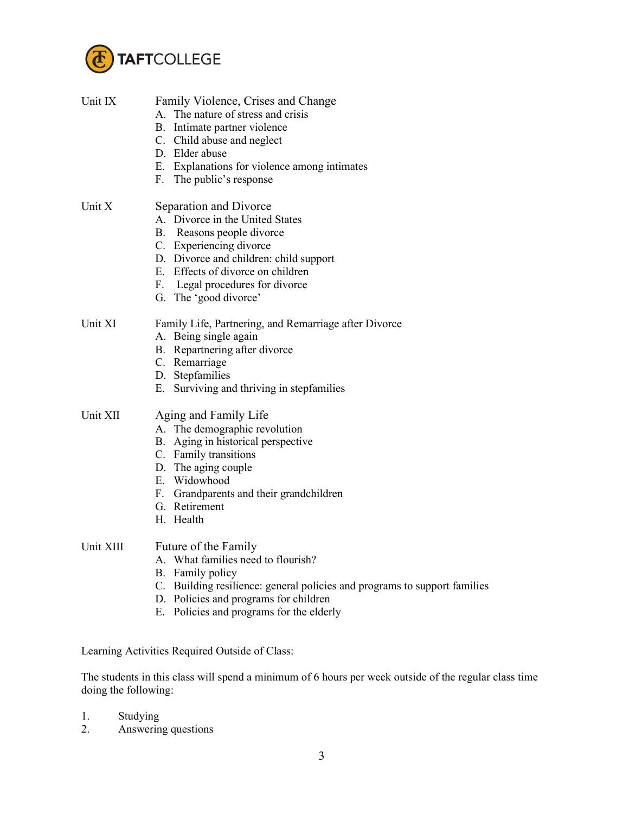

| Unit IX   | Family Violence, Crises and Change<br>A. The nature of stress and crisis<br>B. Intimate partner violence<br>C. Child abuse and neglect<br>D. Elder abuse<br>E. Explanations for violence among intimates<br>F. The public's response                         |
|-----------|--------------------------------------------------------------------------------------------------------------------------------------------------------------------------------------------------------------------------------------------------------------|
| Unit X    | Separation and Divorce<br>A. Divorce in the United States<br>B. Reasons people divorce<br>C. Experiencing divorce<br>D. Divorce and children: child support<br>E. Effects of divorce on children<br>F. Legal procedures for divorce<br>G. The 'good divorce' |
| Unit XI   | Family Life, Partnering, and Remarriage after Divorce<br>A. Being single again<br>B. Repartnering after divorce<br>C. Remarriage<br>D. Stepfamilies<br>E. Surviving and thriving in stepfamilies                                                             |
| Unit XII  | Aging and Family Life<br>A. The demographic revolution<br>B. Aging in historical perspective<br>C. Family transitions<br>D. The aging couple<br>E. Widowhood<br>F. Grandparents and their grandchildren<br>G. Retirement<br>H. Health                        |
| Unit XIII | Future of the Family<br>A. What families need to flourish?<br>B. Family policy<br>C. Building resilience: general policies and programs to<br>D. Policies and programs for children<br>E. Policies and programs for the elderly                              |

Learning Activities Required Outside of Class:

The students in this class will spend a minimum of 6 hours per week outside of the regular class time doing the following:

support families

- 1. Studying
- 2. Answering questions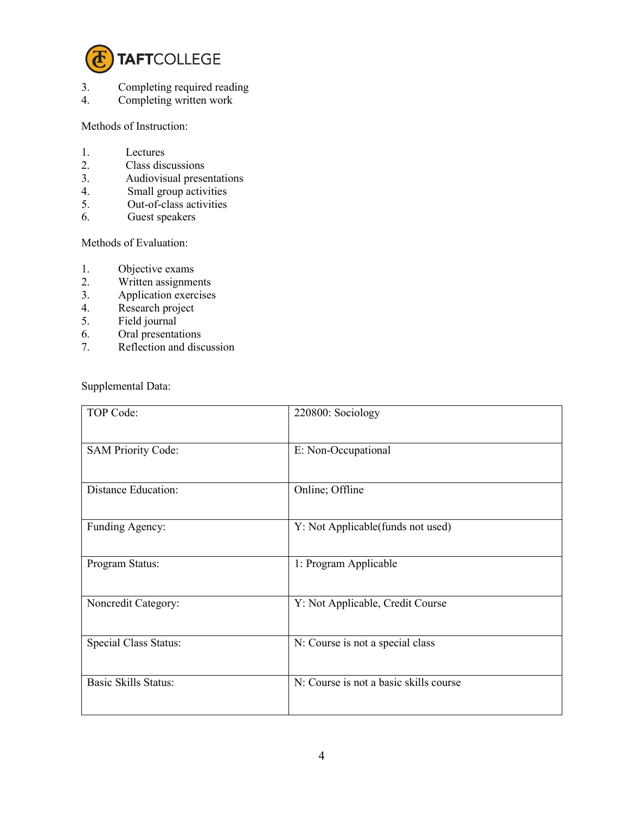

- 3. Completing required reading<br>4. Completing written work
- Completing written work

Methods of Instruction:

- 1. Lectures<br>2. Class dis
- 2. Class discussions<br>3. Audiovisual prese
- Audiovisual presentations
- 4. Small group activities
- 5. Out-of-class activities
- 6. Guest speakers

Methods of Evaluation:

- 1. Objective exams
- 2. Written assignments<br>3. Application exercises
- 3. Application exercises<br>4. Research project
- Research project
- 5. Field journal
- 6. Oral presentations<br>7. Reflection and disc
- Reflection and discussion

Supplemental Data:

| TOP Code:                   | 220800: Sociology                      |
|-----------------------------|----------------------------------------|
| <b>SAM Priority Code:</b>   | E: Non-Occupational                    |
| <b>Distance Education:</b>  | Online; Offline                        |
| Funding Agency:             | Y: Not Applicable(funds not used)      |
| Program Status:             | 1: Program Applicable                  |
| Noncredit Category:         | Y: Not Applicable, Credit Course       |
| Special Class Status:       | N: Course is not a special class       |
| <b>Basic Skills Status:</b> | N: Course is not a basic skills course |